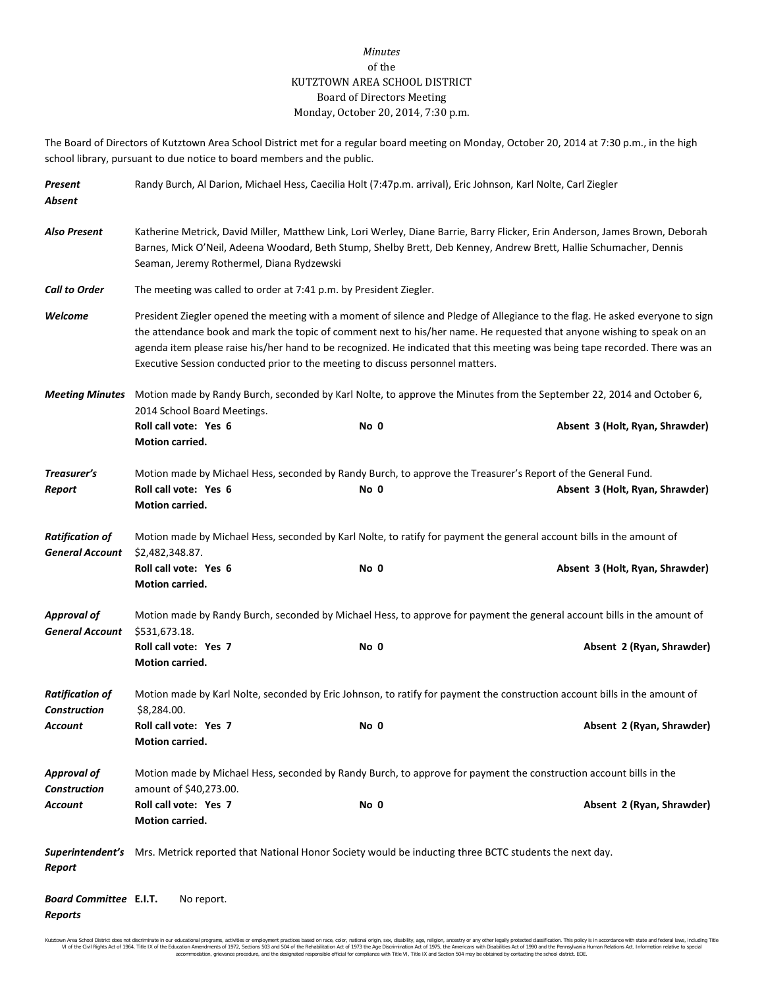## *Minutes* of the KUTZTOWN AREA SCHOOL DISTRICT Board of Directors Meeting Monday, October 20, 2014, 7:30 p.m.

The Board of Directors of Kutztown Area School District met for a regular board meeting on Monday, October 20, 2014 at 7:30 p.m., in the high school library, pursuant to due notice to board members and the public.

| Present<br>Absent                                | Randy Burch, Al Darion, Michael Hess, Caecilia Holt (7:47p.m. arrival), Eric Johnson, Karl Nolte, Carl Ziegler                                                                                                                                                                                                                                                                                                                                                             |                                                                                                                      |                                 |  |  |  |
|--------------------------------------------------|----------------------------------------------------------------------------------------------------------------------------------------------------------------------------------------------------------------------------------------------------------------------------------------------------------------------------------------------------------------------------------------------------------------------------------------------------------------------------|----------------------------------------------------------------------------------------------------------------------|---------------------------------|--|--|--|
| <b>Also Present</b>                              | Katherine Metrick, David Miller, Matthew Link, Lori Werley, Diane Barrie, Barry Flicker, Erin Anderson, James Brown, Deborah<br>Barnes, Mick O'Neil, Adeena Woodard, Beth Stump, Shelby Brett, Deb Kenney, Andrew Brett, Hallie Schumacher, Dennis<br>Seaman, Jeremy Rothermel, Diana Rydzewski                                                                                                                                                                            |                                                                                                                      |                                 |  |  |  |
| <b>Call to Order</b>                             | The meeting was called to order at 7:41 p.m. by President Ziegler.                                                                                                                                                                                                                                                                                                                                                                                                         |                                                                                                                      |                                 |  |  |  |
| Welcome                                          | President Ziegler opened the meeting with a moment of silence and Pledge of Allegiance to the flag. He asked everyone to sign<br>the attendance book and mark the topic of comment next to his/her name. He requested that anyone wishing to speak on an<br>agenda item please raise his/her hand to be recognized. He indicated that this meeting was being tape recorded. There was an<br>Executive Session conducted prior to the meeting to discuss personnel matters. |                                                                                                                      |                                 |  |  |  |
| <b>Meeting Minutes</b>                           | Motion made by Randy Burch, seconded by Karl Nolte, to approve the Minutes from the September 22, 2014 and October 6,                                                                                                                                                                                                                                                                                                                                                      |                                                                                                                      |                                 |  |  |  |
|                                                  | 2014 School Board Meetings.<br>Roll call vote: Yes 6<br>Motion carried.                                                                                                                                                                                                                                                                                                                                                                                                    | No 0                                                                                                                 | Absent 3 (Holt, Ryan, Shrawder) |  |  |  |
| Treasurer's<br>Report                            | Roll call vote: Yes 6<br>Motion carried.                                                                                                                                                                                                                                                                                                                                                                                                                                   | Motion made by Michael Hess, seconded by Randy Burch, to approve the Treasurer's Report of the General Fund.<br>No 0 | Absent 3 (Holt, Ryan, Shrawder) |  |  |  |
| <b>Ratification of</b><br><b>General Account</b> | Motion made by Michael Hess, seconded by Karl Nolte, to ratify for payment the general account bills in the amount of<br>\$2,482,348.87.                                                                                                                                                                                                                                                                                                                                   |                                                                                                                      |                                 |  |  |  |
|                                                  | Roll call vote: Yes 6<br>Motion carried.                                                                                                                                                                                                                                                                                                                                                                                                                                   | No 0                                                                                                                 | Absent 3 (Holt, Ryan, Shrawder) |  |  |  |
| <b>Approval of</b><br><b>General Account</b>     | Motion made by Randy Burch, seconded by Michael Hess, to approve for payment the general account bills in the amount of<br>\$531,673.18.                                                                                                                                                                                                                                                                                                                                   |                                                                                                                      |                                 |  |  |  |
|                                                  | Roll call vote: Yes 7<br>Motion carried.                                                                                                                                                                                                                                                                                                                                                                                                                                   | No 0                                                                                                                 | Absent 2 (Ryan, Shrawder)       |  |  |  |
| <b>Ratification of</b><br><b>Construction</b>    | Motion made by Karl Nolte, seconded by Eric Johnson, to ratify for payment the construction account bills in the amount of<br>\$8,284.00.                                                                                                                                                                                                                                                                                                                                  |                                                                                                                      |                                 |  |  |  |
| <b>Account</b>                                   | Roll call vote: Yes 7<br>Motion carried.                                                                                                                                                                                                                                                                                                                                                                                                                                   | No 0                                                                                                                 | Absent 2 (Ryan, Shrawder)       |  |  |  |
| <b>Approval of</b><br><b>Construction</b>        | Motion made by Michael Hess, seconded by Randy Burch, to approve for payment the construction account bills in the<br>amount of \$40,273.00.                                                                                                                                                                                                                                                                                                                               |                                                                                                                      |                                 |  |  |  |
| Account                                          | Roll call vote: Yes 7<br>Motion carried.                                                                                                                                                                                                                                                                                                                                                                                                                                   | No 0                                                                                                                 | Absent 2 (Ryan, Shrawder)       |  |  |  |
| Report                                           | Superintendent's Mrs. Metrick reported that National Honor Society would be inducting three BCTC students the next day.                                                                                                                                                                                                                                                                                                                                                    |                                                                                                                      |                                 |  |  |  |
| <b>Board Committee E.I.T.</b><br><b>Reports</b>  | No report.                                                                                                                                                                                                                                                                                                                                                                                                                                                                 |                                                                                                                      |                                 |  |  |  |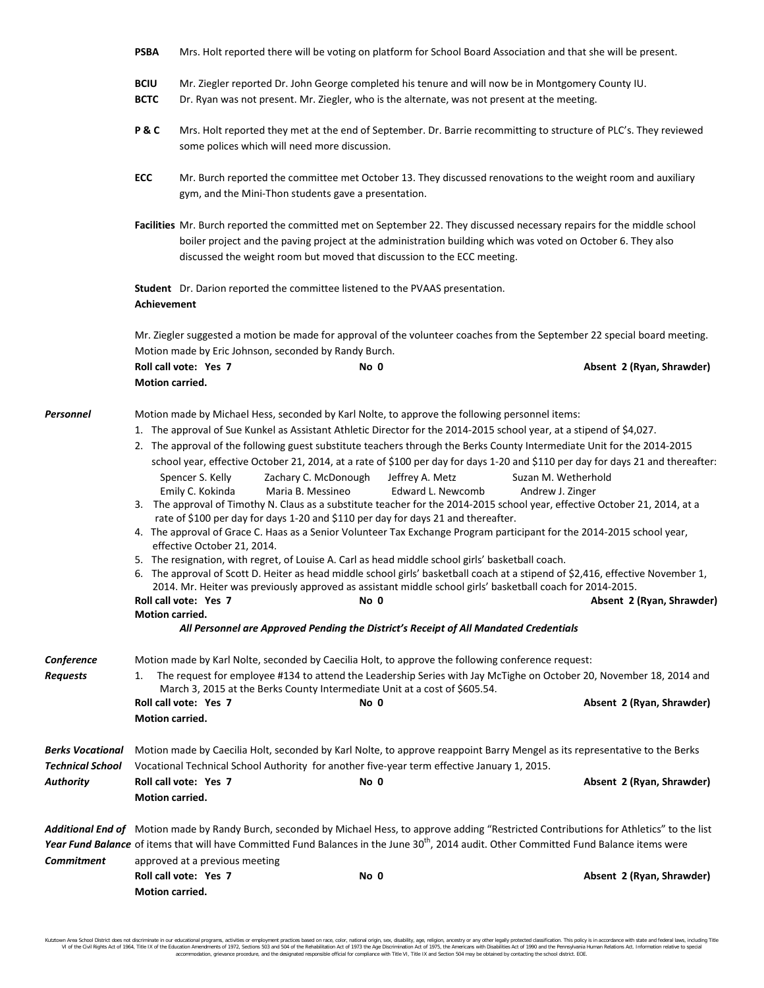|                                                   | <b>PSBA</b>                                                                                                                                                                                                                                                                                                                              |                                                                                                                                                                                                                                                                                                                                                                                          |                                                                         |                                                                                                                                                                                                                                                                                                                                                                                                                                                                                                                                         | Mrs. Holt reported there will be voting on platform for School Board Association and that she will be present.                                                                                                                                                                                                                                                                                                                                                                                                                                                                                                                                                                                                                                                                                                            |                           |  |
|---------------------------------------------------|------------------------------------------------------------------------------------------------------------------------------------------------------------------------------------------------------------------------------------------------------------------------------------------------------------------------------------------|------------------------------------------------------------------------------------------------------------------------------------------------------------------------------------------------------------------------------------------------------------------------------------------------------------------------------------------------------------------------------------------|-------------------------------------------------------------------------|-----------------------------------------------------------------------------------------------------------------------------------------------------------------------------------------------------------------------------------------------------------------------------------------------------------------------------------------------------------------------------------------------------------------------------------------------------------------------------------------------------------------------------------------|---------------------------------------------------------------------------------------------------------------------------------------------------------------------------------------------------------------------------------------------------------------------------------------------------------------------------------------------------------------------------------------------------------------------------------------------------------------------------------------------------------------------------------------------------------------------------------------------------------------------------------------------------------------------------------------------------------------------------------------------------------------------------------------------------------------------------|---------------------------|--|
|                                                   | <b>BCIU</b><br><b>BCTC</b>                                                                                                                                                                                                                                                                                                               | Mr. Ziegler reported Dr. John George completed his tenure and will now be in Montgomery County IU.<br>Dr. Ryan was not present. Mr. Ziegler, who is the alternate, was not present at the meeting.                                                                                                                                                                                       |                                                                         |                                                                                                                                                                                                                                                                                                                                                                                                                                                                                                                                         |                                                                                                                                                                                                                                                                                                                                                                                                                                                                                                                                                                                                                                                                                                                                                                                                                           |                           |  |
|                                                   | P&C                                                                                                                                                                                                                                                                                                                                      | Mrs. Holt reported they met at the end of September. Dr. Barrie recommitting to structure of PLC's. They reviewed<br>some polices which will need more discussion.                                                                                                                                                                                                                       |                                                                         |                                                                                                                                                                                                                                                                                                                                                                                                                                                                                                                                         |                                                                                                                                                                                                                                                                                                                                                                                                                                                                                                                                                                                                                                                                                                                                                                                                                           |                           |  |
|                                                   | ECC                                                                                                                                                                                                                                                                                                                                      |                                                                                                                                                                                                                                                                                                                                                                                          | gym, and the Mini-Thon students gave a presentation.                    |                                                                                                                                                                                                                                                                                                                                                                                                                                                                                                                                         | Mr. Burch reported the committee met October 13. They discussed renovations to the weight room and auxiliary                                                                                                                                                                                                                                                                                                                                                                                                                                                                                                                                                                                                                                                                                                              |                           |  |
|                                                   |                                                                                                                                                                                                                                                                                                                                          | Facilities Mr. Burch reported the committed met on September 22. They discussed necessary repairs for the middle school<br>boiler project and the paving project at the administration building which was voted on October 6. They also<br>discussed the weight room but moved that discussion to the ECC meeting.                                                                       |                                                                         |                                                                                                                                                                                                                                                                                                                                                                                                                                                                                                                                         |                                                                                                                                                                                                                                                                                                                                                                                                                                                                                                                                                                                                                                                                                                                                                                                                                           |                           |  |
|                                                   | <b>Student</b> Dr. Darion reported the committee listened to the PVAAS presentation.<br><b>Achievement</b>                                                                                                                                                                                                                               |                                                                                                                                                                                                                                                                                                                                                                                          |                                                                         |                                                                                                                                                                                                                                                                                                                                                                                                                                                                                                                                         |                                                                                                                                                                                                                                                                                                                                                                                                                                                                                                                                                                                                                                                                                                                                                                                                                           |                           |  |
|                                                   | Mr. Ziegler suggested a motion be made for approval of the volunteer coaches from the September 22 special board meeting.<br>Motion made by Eric Johnson, seconded by Randy Burch.                                                                                                                                                       |                                                                                                                                                                                                                                                                                                                                                                                          |                                                                         |                                                                                                                                                                                                                                                                                                                                                                                                                                                                                                                                         |                                                                                                                                                                                                                                                                                                                                                                                                                                                                                                                                                                                                                                                                                                                                                                                                                           |                           |  |
|                                                   | Motion carried.                                                                                                                                                                                                                                                                                                                          | Roll call vote: Yes 7                                                                                                                                                                                                                                                                                                                                                                    |                                                                         | No 0                                                                                                                                                                                                                                                                                                                                                                                                                                                                                                                                    | Absent 2 (Ryan, Shrawder)                                                                                                                                                                                                                                                                                                                                                                                                                                                                                                                                                                                                                                                                                                                                                                                                 |                           |  |
| Personnel                                         | <b>Motion carried.</b>                                                                                                                                                                                                                                                                                                                   | Spencer S. Kelly<br>Emily C. Kokinda<br>effective October 21, 2014.                                                                                                                                                                                                                                                                                                                      | Zachary C. McDonough<br>Maria B. Messineo<br>Roll call vote: Yes 7 No 0 | Motion made by Michael Hess, seconded by Karl Nolte, to approve the following personnel items:<br>Jeffrey A. Metz<br>Edward L. Newcomb<br>rate of \$100 per day for days 1-20 and \$110 per day for days 21 and thereafter.<br>5. The resignation, with regret, of Louise A. Carl as head middle school girls' basketball coach.<br>2014. Mr. Heiter was previously approved as assistant middle school girls' basketball coach for 2014-2015.<br>All Personnel are Approved Pending the District's Receipt of All Mandated Credentials | 1. The approval of Sue Kunkel as Assistant Athletic Director for the 2014-2015 school year, at a stipend of \$4,027.<br>2. The approval of the following guest substitute teachers through the Berks County Intermediate Unit for the 2014-2015<br>school year, effective October 21, 2014, at a rate of \$100 per day for days 1-20 and \$110 per day for days 21 and thereafter:<br>Suzan M. Wetherhold<br>Andrew J. Zinger<br>3. The approval of Timothy N. Claus as a substitute teacher for the 2014-2015 school year, effective October 21, 2014, at a<br>4. The approval of Grace C. Haas as a Senior Volunteer Tax Exchange Program participant for the 2014-2015 school year,<br>6. The approval of Scott D. Heiter as head middle school girls' basketball coach at a stipend of \$2,416, effective November 1, | Absent 2 (Ryan, Shrawder) |  |
| Conference<br>Requests                            | 1.                                                                                                                                                                                                                                                                                                                                       | Motion made by Karl Nolte, seconded by Caecilia Holt, to approve the following conference request:<br>The request for employee #134 to attend the Leadership Series with Jay McTighe on October 20, November 18, 2014 and<br>March 3, 2015 at the Berks County Intermediate Unit at a cost of \$605.54.<br>Absent 2 (Ryan, Shrawder)<br>Roll call vote: Yes 7<br>No 0<br>Motion carried. |                                                                         |                                                                                                                                                                                                                                                                                                                                                                                                                                                                                                                                         |                                                                                                                                                                                                                                                                                                                                                                                                                                                                                                                                                                                                                                                                                                                                                                                                                           |                           |  |
| Berks Vocational<br>Technical School<br>Authority | Motion carried.                                                                                                                                                                                                                                                                                                                          | Roll call vote: Yes 7                                                                                                                                                                                                                                                                                                                                                                    |                                                                         | Vocational Technical School Authority for another five-year term effective January 1, 2015.<br>No 0                                                                                                                                                                                                                                                                                                                                                                                                                                     | Motion made by Caecilia Holt, seconded by Karl Nolte, to approve reappoint Barry Mengel as its representative to the Berks<br>Absent 2 (Ryan, Shrawder)                                                                                                                                                                                                                                                                                                                                                                                                                                                                                                                                                                                                                                                                   |                           |  |
| Commitment                                        | Additional End of Motion made by Randy Burch, seconded by Michael Hess, to approve adding "Restricted Contributions for Athletics" to the list<br>Year Fund Balance of items that will have Committed Fund Balances in the June 30 <sup>th</sup> , 2014 audit. Other Committed Fund Balance items were<br>approved at a previous meeting |                                                                                                                                                                                                                                                                                                                                                                                          |                                                                         |                                                                                                                                                                                                                                                                                                                                                                                                                                                                                                                                         |                                                                                                                                                                                                                                                                                                                                                                                                                                                                                                                                                                                                                                                                                                                                                                                                                           |                           |  |
|                                                   | Motion carried.                                                                                                                                                                                                                                                                                                                          | Roll call vote: Yes 7                                                                                                                                                                                                                                                                                                                                                                    |                                                                         | No 0                                                                                                                                                                                                                                                                                                                                                                                                                                                                                                                                    | Absent 2 (Ryan, Shrawder)                                                                                                                                                                                                                                                                                                                                                                                                                                                                                                                                                                                                                                                                                                                                                                                                 |                           |  |

Kutztown Area School District does not discriminate in our educational programs, activities or employment practices based on race, color, national origin, sex, disability, age, religion, ancestry or any other legally prot